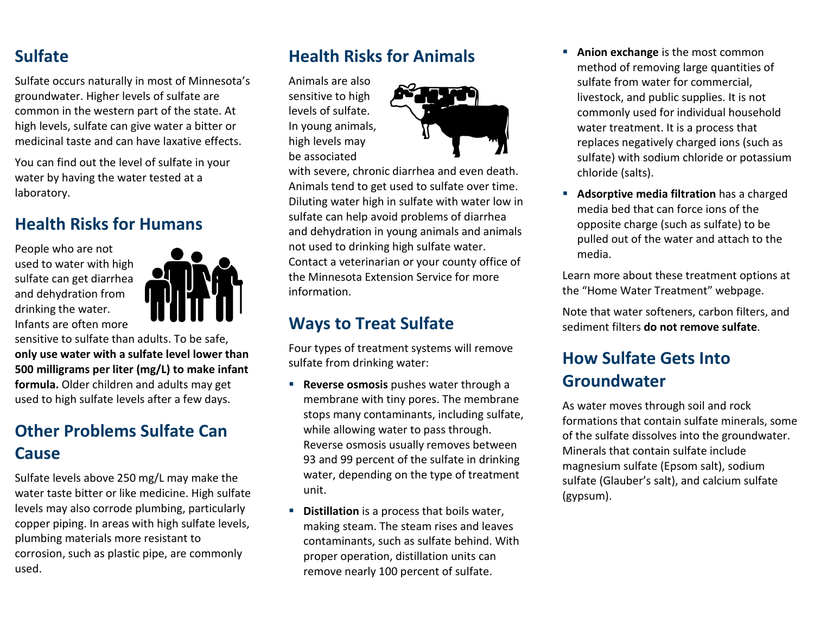#### **Sulfate**

Sulfate occurs naturally in most of Minnesota's groundwater. Higher levels of sulfate are common in the western part of the state. At high levels, sulfate can give water a bitter or medicinal taste and can have laxative effects.

You can find out the level of sulfate in your water by having the water tested at a laboratory.

#### **Health Risks for Humans**

People who are not used to water with high sulfate can get diarrhea and dehydration from drinking the water. Infants are often more



sensitive to sulfate than adults. To be safe, **only use water with a sulfate level lower than 500 milligrams per liter (mg/L) to make infant formula.** Older children and adults may get used to high sulfate levels after a few days.

## **Other Problems Sulfate Can Cause**

Sulfate levels above 250 mg/L may make the water taste bitter or like medicine. High sulfate levels may also corrode plumbing, particularly copper piping. In areas with high sulfate levels, plumbing materials more resistant to corrosion, such as plastic pipe, are commonly used.

#### **Health Risks for Animals**

Animals are also sensitive to high levels of sulfate. In young animals, high levels may be associated



with severe, chronic diarrhea and even death. Animals tend to get used to sulfate over time. Diluting water high in sulfate with water low in sulfate can help avoid problems of diarrhea and dehydration in young animals and animals not used to drinking high sulfate water. Contact a veterinarian or your county office of the Minnesota Extension Service for more information.

#### **Ways to Treat Sulfate**

Four types of treatment systems will remove sulfate from drinking water:

- **Reverse osmosis** pushes water through a membrane with tiny pores. The membrane stops many contaminants, including sulfate, while allowing water to pass through. Reverse osmosis usually removes between 93 and 99 percent of the sulfate in drinking water, depending on the type of treatment unit.
- **Distillation** is a process that boils water, making steam. The steam rises and leaves contaminants, such as sulfate behind. With proper operation, distillation units can remove nearly 100 percent of sulfate.
- **Anion exchange** is the most common method of removing large quantities of sulfate from water for commercial, livestock, and public supplies. It is not commonly used for individual household water treatment. It is a process that replaces negatively charged ions (such as sulfate) with sodium chloride or potassium chloride (salts).
- **Adsorptive media filtration** has a charged media bed that can force ions of the opposite charge (such as sulfate) to be pulled out of the water and attach to the media.

Learn more about these treatment options at the "Home Water Treatment" webpage.

Note that water softeners, carbon filters, and sediment filters **do not remove sulfate**.

### **How Sulfate Gets Into Groundwater**

As water moves through soil and rock formations that contain sulfate minerals, some of the sulfate dissolves into the groundwater. Minerals that contain sulfate include magnesium sulfate (Epsom salt), sodium sulfate (Glauber's salt), and calcium sulfate (gypsum).